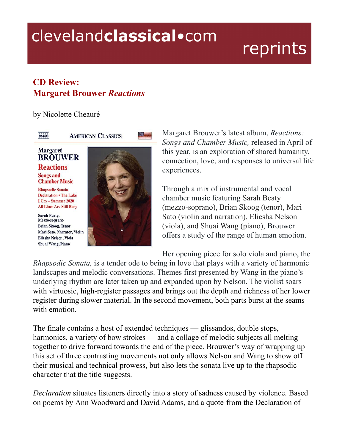## clevelandclassical.com

## reprints

## **CD Review: Margaret Brouwer** *Reactions*

by Nicolette Cheauré



**AMERICAN CLASSICS** 

## **Margaret BROUWER Reactions**

**Songs and Chamber Music** 

**Rhapsodic Sonata Declaration . The Lake** I Cry - Summer 2020 **All Lines Are Still Busy** 

Sarah Beaty, Mezzo-soprano **Brian Skoog, Tenor** Mari Sato, Narrator, Violin Eliesha Nelson, Viola Shuai Wang, Piano



mm –

Margaret Brouwer's latest album, *Reactions: Songs and Chamber Music,* released in April of this year, is an exploration of shared humanity, connection, love, and responses to universal life experiences.

Through a mix of instrumental and vocal chamber music featuring Sarah Beaty (mezzo-soprano), Brian Skoog (tenor), Mari Sato (violin and narration), Eliesha Nelson (viola), and Shuai Wang (piano), Brouwer offers a study of the range of human emotion.

Her opening piece for solo viola and piano, the

*Rhapsodic Sonata,* is a tender ode to being in love that plays with a variety of harmonic landscapes and melodic conversations. Themes first presented by Wang in the piano's underlying rhythm are later taken up and expanded upon by Nelson. The violist soars with virtuosic, high-register passages and brings out the depth and richness of her lower register during slower material. In the second movement, both parts burst at the seams with emotion.

The finale contains a host of extended techniques — glissandos, double stops, harmonics, a variety of bow strokes — and a collage of melodic subjects all melting together to drive forward towards the end of the piece. Brouwer's way of wrapping up this set of three contrasting movements not only allows Nelson and Wang to show off their musical and technical prowess, but also lets the sonata live up to the rhapsodic character that the title suggests.

*Declaration* situates listeners directly into a story of sadness caused by violence. Based on poems by Ann Woodward and David Adams, and a quote from the Declaration of